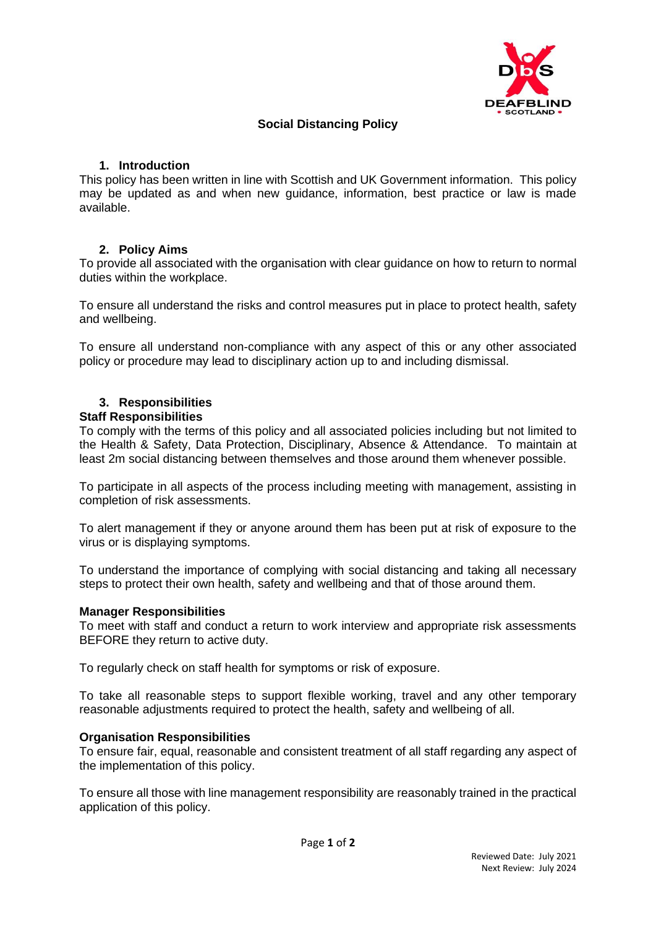

## **Social Distancing Policy**

## **1. Introduction**

This policy has been written in line with Scottish and UK Government information. This policy may be updated as and when new guidance, information, best practice or law is made available.

## **2. Policy Aims**

To provide all associated with the organisation with clear guidance on how to return to normal duties within the workplace.

To ensure all understand the risks and control measures put in place to protect health, safety and wellbeing.

To ensure all understand non-compliance with any aspect of this or any other associated policy or procedure may lead to disciplinary action up to and including dismissal.

# **3. Responsibilities**

**Staff Responsibilities**

To comply with the terms of this policy and all associated policies including but not limited to the Health & Safety, Data Protection, Disciplinary, Absence & Attendance. To maintain at least 2m social distancing between themselves and those around them whenever possible.

To participate in all aspects of the process including meeting with management, assisting in completion of risk assessments.

To alert management if they or anyone around them has been put at risk of exposure to the virus or is displaying symptoms.

To understand the importance of complying with social distancing and taking all necessary steps to protect their own health, safety and wellbeing and that of those around them.

## **Manager Responsibilities**

To meet with staff and conduct a return to work interview and appropriate risk assessments BEFORE they return to active duty.

To regularly check on staff health for symptoms or risk of exposure.

To take all reasonable steps to support flexible working, travel and any other temporary reasonable adjustments required to protect the health, safety and wellbeing of all.

## **Organisation Responsibilities**

To ensure fair, equal, reasonable and consistent treatment of all staff regarding any aspect of the implementation of this policy.

To ensure all those with line management responsibility are reasonably trained in the practical application of this policy.